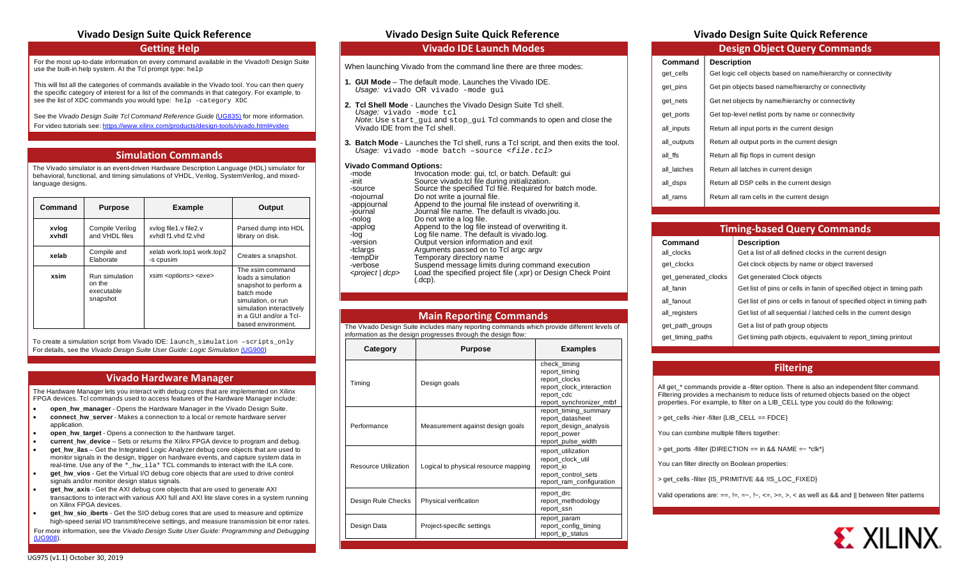# **Vivado Design Suite Quick Reference Vivado Design Suite Quick Reference Vivado Design Suite Quick Reference**

## **Getting Help**

For the most up-to-date information on every command available in the Vivado® Design Suite use the built-in help system. At the Tcl prompt type: help

This will list all the categories of commands available in the Vivado tool. You can then query the specific category of interest for a list of the commands in that category. For example, to see the list of XDC commands you would type: help -category XDC

See the *Vivado Design Suite Tcl Command Reference Guide* [\(UG835\)](https://www.xilinx.com/cgi-bin/docs/rdoc?v=latest;d=ug835-vivado-tcl-commands.pdf;a=xhelp) for more information.

For video tutorials see[: https://www.xilinx.com/products/design-tools/vivado.html#video](https://www.xilinx.com/products/design-tools/vivado.html#video)

## **Simulation Commands**

The Vivado simulator is an event-driven Hardware Description Language (HDL) simulator for behavioral, functional, and timing simulations of VHDL, Verilog, SystemVerilog, and mixedlanguage designs.

| Command        | <b>Purpose</b>                                     | <b>Example</b>                               | Output                                                                                                                                                                          |
|----------------|----------------------------------------------------|----------------------------------------------|---------------------------------------------------------------------------------------------------------------------------------------------------------------------------------|
| xvlog<br>xvhdl | Compile Verilog<br>and VHDL files                  | xylog file1.y file2.y<br>xyhdl f1 vhd f2 vhd | Parsed dump into HDL<br>library on disk.                                                                                                                                        |
| xelab          | Compile and<br>Elaborate                           | xelab work.top1 work.top2<br>-s cpusim       | Creates a snapshot.                                                                                                                                                             |
| xsim           | Run simulation<br>on the<br>executable<br>snapshot | xsim <options> <exe></exe></options>         | The xsim command<br>loads a simulation<br>snapshot to perform a<br>batch mode<br>simulation, or run<br>simulation interactively<br>in a GUI and/or a Tcl-<br>based environment. |

To create a simulation script from Vivado IDE: launch simulation –scripts only For details, see the *Vivado Design Suite User Guide: Logic Simulation* [\(UG900\)](https://www.xilinx.com/cgi-bin/docs/rdoc?v=latest;d=ug900-vivado-logic-simulation.pdf)

## **Vivado Hardware Manager**

The Hardware Manager lets you interact with debug cores that are implemented on Xilinx FPGA devices. Tcl commands used to access features of the Hardware Manager include:

- **open\_hw\_manager** Opens the Hardware Manager in the Vivado Design Suite.
- **connect\_hw\_server** Makes a connection to a local or remote hardware server application.
- **open** hw target Opens a connection to the hardware target.
- **current\_hw\_device** Sets or returns the Xilinx FPGA device to program and debug.
- **get\_hw\_ilas** Get the Integrated Logic Analyzer debug core objects that are used to monitor signals in the design, trigger on hardware events, and capture system data in real-time. Use any of the \*\_hw\_ila\* TCL commands to interact with the ILA core.
- **get\_hw\_vios** Get the Virtual I/O debug core objects that are used to drive control signals and/or monitor design status signals.
- **get\_hw\_axis** Get the AXI debug core objects that are used to generate AXI transactions to interact with various AXI full and AXI lite slave cores in a system running on Xilinx FPGA devices.
- **get hw sio iberts** Get the SIO debug cores that are used to measure and optimize high-speed serial I/O transmit/receive settings, and measure transmission bit error rates.

For more information, see the *Vivado Design Suite User Guide: Programming and Debugging*  [\(UG908\)](https://www.xilinx.com/cgi-bin/docs/rdoc?v=latest;d=ug908-vivado-programming-debugging.pdf).

## **Vivado IDE Launch Modes**

When launching Vivado from the command line there are three modes:

- **1. GUI Mode** The default mode. Launches the Vivado IDE. *Usage:* vivado OR vivado -mode gui
- **2. Tcl Shell Mode** Launches the Vivado Design Suite Tcl shell. *Usage:* vivado -mode tcl  *Note:* Use start\_gui and stop\_gui Tcl commands to open and close the Vivado IDE from the Tcl shell.
- **3. Batch Mode** Launches the Tcl shell, runs a Tcl script, and then exits the tool. *Usage:* vivado -mode batch –source *<file.tcl>*

### **Vivado Command Options:**

| -mode<br>-init<br>-source<br>-nojournal<br>-appiournal<br>-journal<br>-nolog<br>-applog<br>-log<br>-version<br>-tclargs<br>-tempDir<br>-verbose | Invocation mode: qui, tcl, or batch. Default: qui<br>Source vivado tcl file during initialization.<br>Source the specified Tcl file. Required for batch mode.<br>Do not write a journal file.<br>Append to the journal file instead of overwriting it.<br>Journal file name. The default is vivado.jou.<br>Do not write a log file.<br>Append to the log file instead of overwriting it.<br>Log file name. The default is vivado.log.<br>Output version information and exit<br>Arguments passed on to Tcl argc argy<br>Temporary directory name<br>Suspend message limits during command execution |
|-------------------------------------------------------------------------------------------------------------------------------------------------|-----------------------------------------------------------------------------------------------------------------------------------------------------------------------------------------------------------------------------------------------------------------------------------------------------------------------------------------------------------------------------------------------------------------------------------------------------------------------------------------------------------------------------------------------------------------------------------------------------|
|                                                                                                                                                 |                                                                                                                                                                                                                                                                                                                                                                                                                                                                                                                                                                                                     |
| <project dcp=""  =""></project>                                                                                                                 | Load the specified project file (.xpr) or Design Check Point<br>(.dcp).                                                                                                                                                                                                                                                                                                                                                                                                                                                                                                                             |

## **Main Reporting Commands**

The Vivado Design Suite includes many reporting commands which provide different levels of information as the design progresses through the design flow:

| Category             | <b>Purpose</b>                       | <b>Examples</b>                                                                                                      |
|----------------------|--------------------------------------|----------------------------------------------------------------------------------------------------------------------|
| Timing               | Design goals                         | check_timing<br>report timing<br>report_clocks<br>report_clock_interaction<br>report cdc<br>report_synchronizer_mtbf |
| Performance          | Measurement against design goals     | report_timing_summary<br>report_datasheet<br>report_design_analysis<br>report_power<br>report pulse width            |
| Resource Utilization | Logical to physical resource mapping | report_utilization<br>report clock util<br>report io<br>report control sets<br>report_ram_configuration              |
| Design Rule Checks   | Physical verification                | report_drc<br>report_methodology<br>report ssn                                                                       |
| Design Data          | Project-specific settings            | report param<br>report_config_timing<br>report_ip_status                                                             |

| <b>Design Object Query Commands</b> |                                                                |  |  |  |
|-------------------------------------|----------------------------------------------------------------|--|--|--|
| Command                             | <b>Description</b>                                             |  |  |  |
| get_cells                           | Get logic cell objects based on name/hierarchy or connectivity |  |  |  |
| get_pins                            | Get pin objects based name/hierarchy or connectivity           |  |  |  |
| get_nets                            | Get net objects by name/hierarchy or connectivity              |  |  |  |
| get_ports                           | Get top-level netlist ports by name or connectivity            |  |  |  |
| all_inputs                          | Return all input ports in the current design                   |  |  |  |
| all outputs                         | Return all output ports in the current design                  |  |  |  |
| all ffs                             | Return all flip flops in current design                        |  |  |  |
| all latches                         | Return all latches in current design                           |  |  |  |
| all_dsps                            | Return all DSP cells in the current design                     |  |  |  |
| all rams                            | Return all ram cells in the current design                     |  |  |  |

| <b>Timing-based Query Commands</b> |                                                                        |  |  |  |
|------------------------------------|------------------------------------------------------------------------|--|--|--|
| Command                            | <b>Description</b>                                                     |  |  |  |
| all clocks                         | Get a list of all defined clocks in the current design                 |  |  |  |
| get clocks                         | Get clock objects by name or object traversed                          |  |  |  |
| get generated clocks               | Get generated Clock objects                                            |  |  |  |
| all fanin                          | Get list of pins or cells in fanin of specified object in timing path  |  |  |  |
| all fanout                         | Get list of pins or cells in fanout of specified object in timing path |  |  |  |
| all registers                      | Get list of all sequential / latched cells in the current design       |  |  |  |
| get_path_groups                    | Get a list of path group objects                                       |  |  |  |
| get_timing_paths                   | Get timing path objects, equivalent to report timing printout          |  |  |  |

# **Filtering**

All get \* commands provide a -filter option. There is also an independent filter command. Filtering provides a mechanism to reduce lists of returned objects based on the object properties. For example, to filter on a LIB\_CELL type you could do the following:

> get\_cells -hier -filter {LIB\_CELL == FDCE}

You can combine multiple filters together:

> get\_ports -filter {DIRECTION == in && NAME =~ \*clk\*}

You can filter directly on Boolean properties:

> get\_cells -filter {IS\_PRIMITIVE && !IS\_LOC\_FIXED}

Valid operations are:  $==$ ,  $!=$ ,  $!=$ ,  $\leq$ ,  $\leq$ ,  $\leq$ ,  $\leq$ ,  $\leq$ ,  $\leq$  as well as && and || between filter patterns